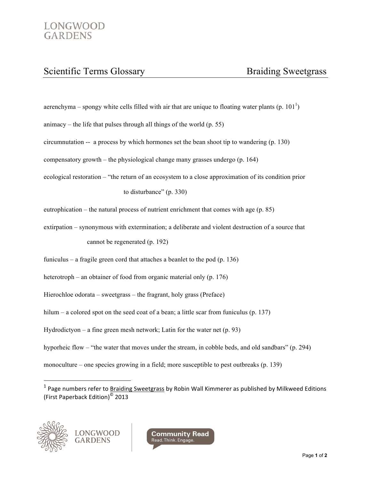## Scientific Terms Glossary Braiding Sweetgrass

aerenchyma – spongy white cells filled with air that are unique to floating water plants (p. 101<sup>1</sup>)

animacy – the life that pulses through all things of the world  $(p. 55)$ 

circumnutation -- a process by which hormones set the bean shoot tip to wandering (p. 130)

compensatory growth – the physiological change many grasses undergo (p. 164)

ecological restoration – "the return of an ecosystem to a close approximation of its condition prior

to disturbance" (p. 330)

eutrophication – the natural process of nutrient enrichment that comes with age (p. 85)

extirpation – synonymous with extermination; a deliberate and violent destruction of a source that cannot be regenerated (p. 192)

funiculus – a fragile green cord that attaches a beanlet to the pod (p. 136)

heterotroph – an obtainer of food from organic material only (p. 176)

Hierochloe odorata – sweetgrass – the fragrant, holy grass (Preface)

hilum – a colored spot on the seed coat of a bean; a little scar from funiculus (p. 137)

Hydrodictyon – a fine green mesh network; Latin for the water net  $(p. 93)$ 

hyporheic flow – "the water that moves under the stream, in cobble beds, and old sandbars" (p. 294)

monoculture – one species growing in a field; more susceptible to pest outbreaks (p. 139)

 $1$  Page numbers refer to Braiding Sweetgrass by Robin Wall Kimmerer as published by Milkweed Editions (First Paperback Edition)<sup>©</sup> 2013



!!!!!!!!!!!!!!!!!!!!!!!!!!!!!!!!!!!!!!!!!!!!!!!!!!!!!!!!!!!!